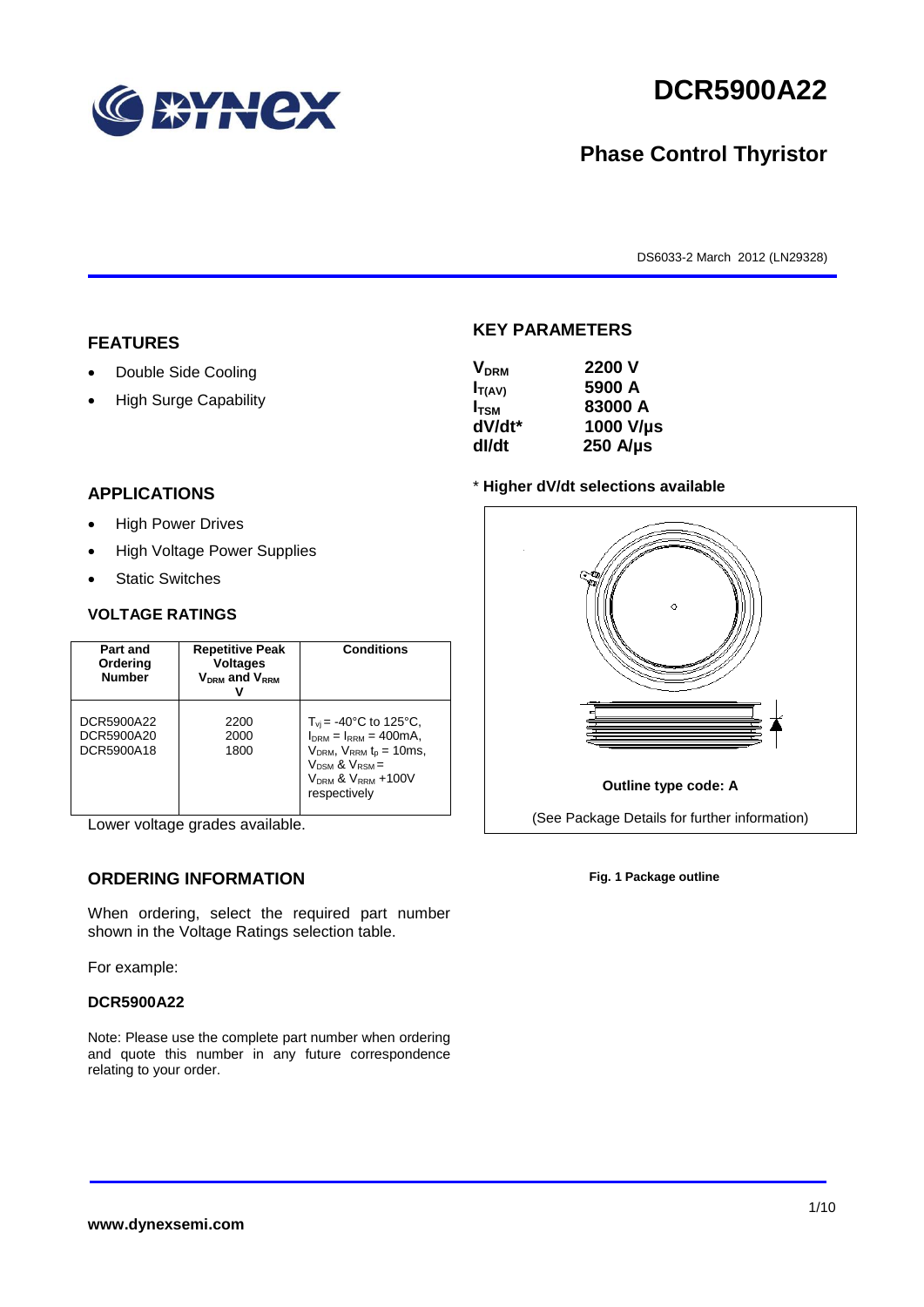

# **DCR5900A22**

## **Phase Control Thyristor**

DS6033-2 March 2012 (LN29328)

#### **FEATURES**

- Double Side Cooling
- High Surge Capability

#### **APPLICATIONS**

- High Power Drives
- High Voltage Power Supplies
- Static Switches

#### **VOLTAGE RATINGS**

| Part and<br>Ordering<br><b>Number</b>  | <b>Repetitive Peak</b><br><b>Voltages</b><br>$V_{DRM}$ and $V_{RRM}$ | <b>Conditions</b>                                                                                                                                                                                    |
|----------------------------------------|----------------------------------------------------------------------|------------------------------------------------------------------------------------------------------------------------------------------------------------------------------------------------------|
| DCR5900A22<br>DCR5900A20<br>DCR5900A18 | 2200<br>2000<br>1800                                                 | $T_{vi}$ = -40°C to 125°C,<br>$I_{DRM} = I_{RRM} = 400 \text{mA}$ ,<br>$V_{DRM}$ , $V_{RRM}$ $t_{p}$ = 10ms,<br>$V_{DSM}$ & $V_{RSM}$ =<br>V <sub>DRM</sub> & V <sub>RRM</sub> +100V<br>respectively |

Lower voltage grades available.

### **ORDERING INFORMATION**

When ordering, select the required part number shown in the Voltage Ratings selection table.

For example:

#### **DCR5900A22**

Note: Please use the complete part number when ordering and quote this number in any future correspondence relating to your order.

#### **KEY PARAMETERS**

| 2200 V           |
|------------------|
| 5900 A           |
| 83000 A          |
| 1000 V/µs        |
| $250$ A/ $\mu$ s |
|                  |

#### \* **Higher dV/dt selections available**



**Fig. 1 Package outline**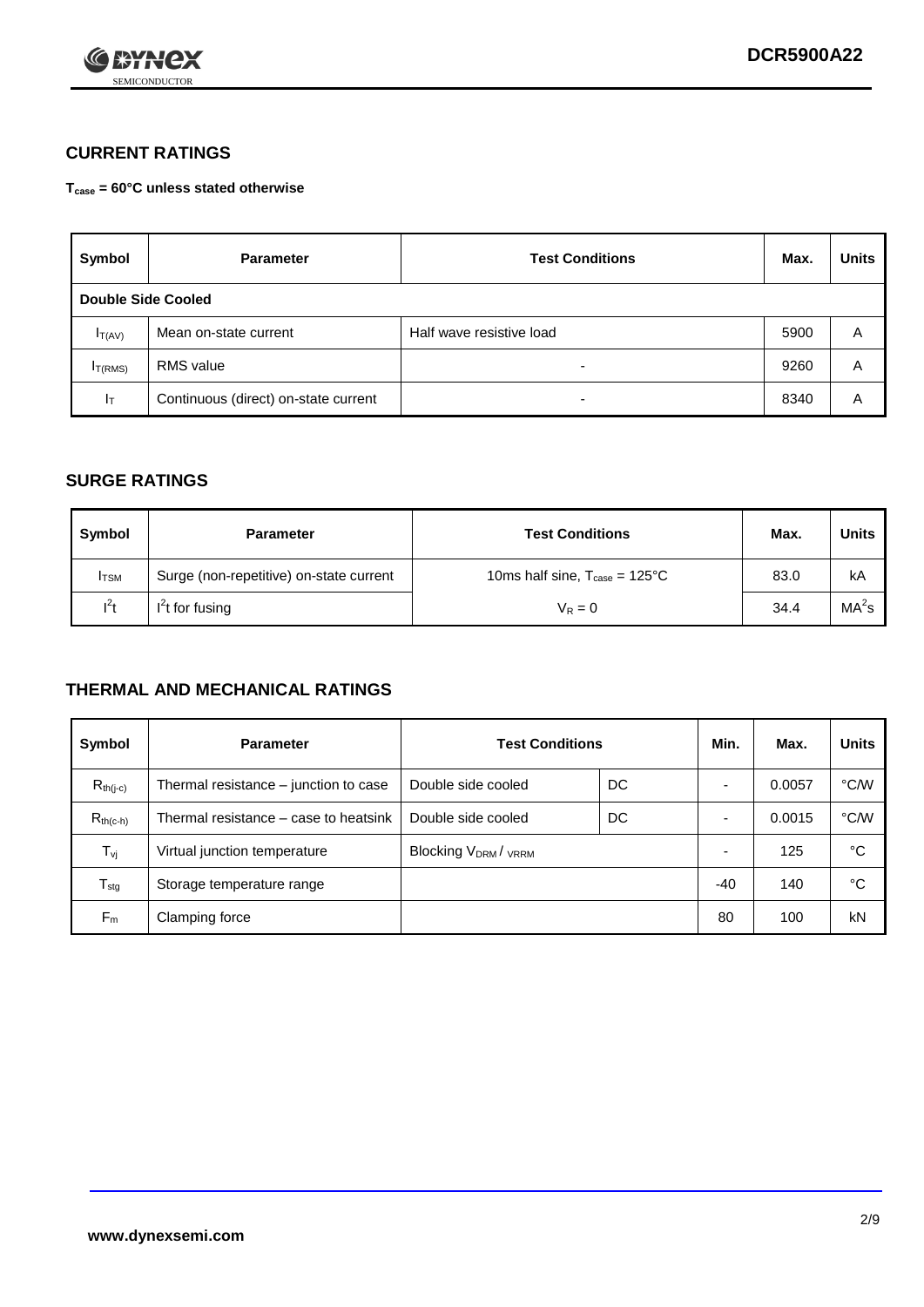

### **CURRENT RATINGS**

**Tcase = 60°C unless stated otherwise**

| Symbol             | <b>Parameter</b>                     | <b>Test Conditions</b>   | Max. | <b>Units</b> |
|--------------------|--------------------------------------|--------------------------|------|--------------|
| Double Side Cooled |                                      |                          |      |              |
| $I_{T(AV)}$        | Mean on-state current                | Half wave resistive load | 5900 | Α            |
| $I_{T(RMS)}$       | RMS value                            | $\overline{\phantom{a}}$ | 9260 | Α            |
| Iт                 | Continuous (direct) on-state current | $\overline{\phantom{a}}$ | 8340 | Α            |

#### **SURGE RATINGS**

| Symbol       | <b>Parameter</b>                        | <b>Test Conditions</b>                           | Max. | Units             |
|--------------|-----------------------------------------|--------------------------------------------------|------|-------------------|
| <b>I</b> TSM | Surge (non-repetitive) on-state current | 10ms half sine, $T_{\text{case}} = 125^{\circ}C$ | 83.0 | kA                |
| $l^2t$       | $I2t$ for fusing                        | $V_R = 0$                                        | 34.4 | MA <sup>2</sup> s |

#### **THERMAL AND MECHANICAL RATINGS**

| Symbol           | <b>Parameter</b>                      | <b>Test Conditions</b>    |    | Min.  | Max.   | <b>Units</b> |
|------------------|---------------------------------------|---------------------------|----|-------|--------|--------------|
| $R_{th(i-c)}$    | Thermal resistance – junction to case | Double side cooled        | DC |       | 0.0057 | °C/W         |
| $R_{th(c-h)}$    | Thermal resistance – case to heatsink | Double side cooled        | DC |       | 0.0015 | °C/W         |
| $T_{\nu j}$      | Virtual junction temperature          | <b>Blocking VDRM/VRRM</b> |    |       | 125    | °C           |
| $T_{\text{stg}}$ | Storage temperature range             |                           |    | $-40$ | 140    | °C           |
| $F_m$            | Clamping force                        |                           |    | 80    | 100    | kN           |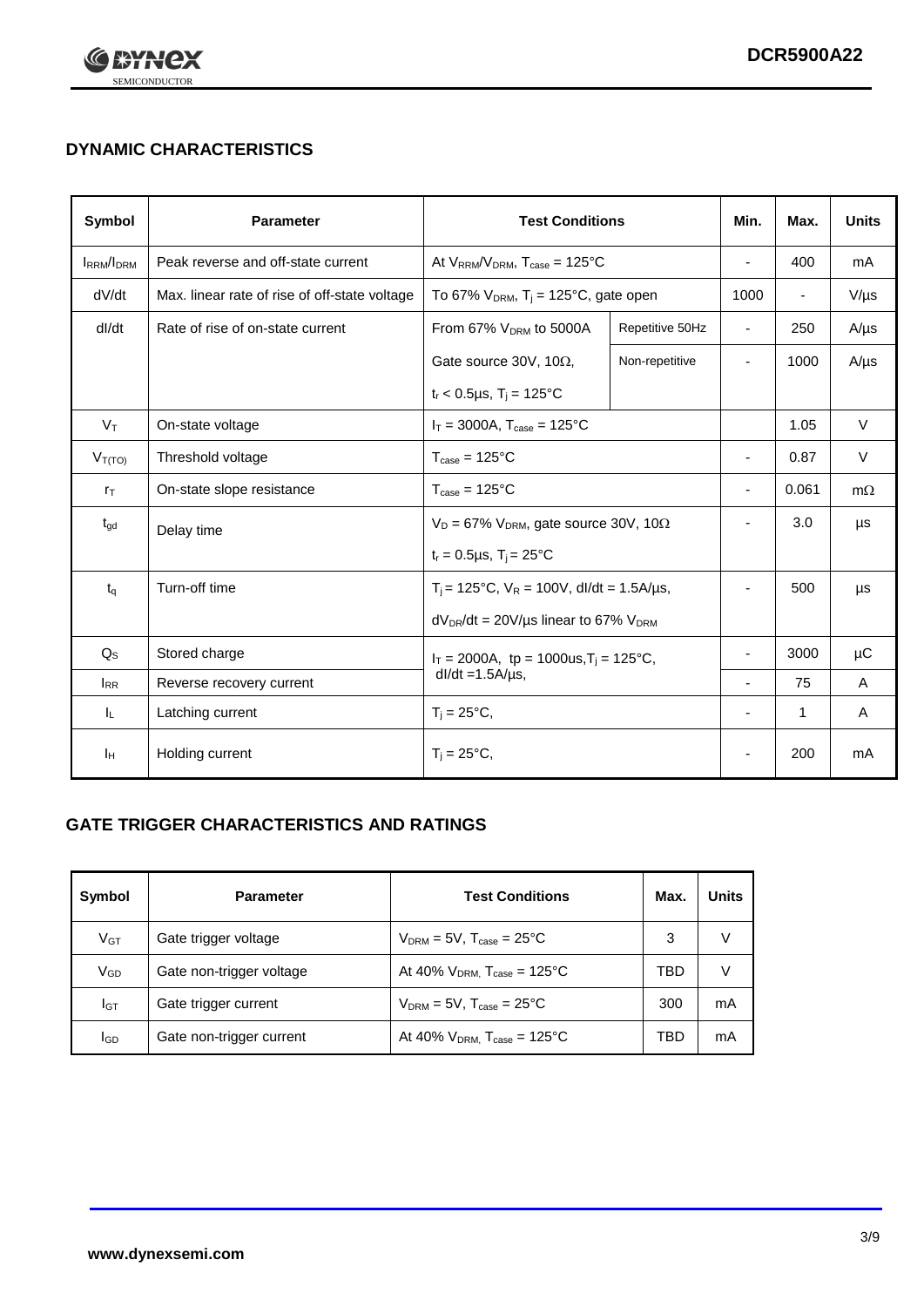

## **DYNAMIC CHARACTERISTICS**

| Symbol            | <b>Parameter</b>                                              | <b>Test Conditions</b>                                       |                                                  | Min.                     | Max.                     | <b>Units</b> |
|-------------------|---------------------------------------------------------------|--------------------------------------------------------------|--------------------------------------------------|--------------------------|--------------------------|--------------|
| <b>IRRM</b> /IDRM | Peak reverse and off-state current                            |                                                              | At $V_{RRM}/V_{DRM}$ , $T_{case} = 125^{\circ}C$ |                          | 400                      | mA           |
| dV/dt             | Max. linear rate of rise of off-state voltage                 | To 67% $V_{DRM}$ , T <sub>i</sub> = 125°C, gate open         |                                                  | 1000                     | $\overline{\phantom{a}}$ | $V/\mu s$    |
| dl/dt             | Rate of rise of on-state current                              | From 67% V <sub>DRM</sub> to 5000A                           | Repetitive 50Hz                                  | $\overline{\phantom{a}}$ | 250                      | $A/\mu s$    |
|                   |                                                               | Gate source 30V, 10 $\Omega$ ,                               | Non-repetitive                                   | -                        | 1000                     | $A/\mu s$    |
|                   |                                                               | $t_r$ < 0.5µs, $T_i$ = 125°C                                 |                                                  |                          |                          |              |
| $V_T$             | On-state voltage                                              | $I_T = 3000A$ , $T_{case} = 125^{\circ}C$                    |                                                  |                          | 1.05                     | V            |
| $V_{T(TO)}$       | Threshold voltage                                             | $T_{\text{case}} = 125^{\circ}C$                             |                                                  | $\blacksquare$           | 0.87                     | $\vee$       |
| $r_{\text{T}}$    | On-state slope resistance                                     | $T_{\text{case}} = 125^{\circ}C$                             |                                                  | $\overline{\phantom{a}}$ | 0.061                    | $m\Omega$    |
| $t_{\rm gd}$      | Delay time                                                    | $V_D = 67\%$ V <sub>DRM</sub> , gate source 30V, 10 $\Omega$ |                                                  | ٠                        | 3.0                      | μs           |
|                   |                                                               | $t_r = 0.5 \mu s$ , $T_i = 25^{\circ}C$                      |                                                  |                          |                          |              |
| $t_{q}$           | Turn-off time                                                 | $T_i$ = 125°C, $V_R$ = 100V, dl/dt = 1.5A/us,                |                                                  | ٠                        | 500                      | μs           |
|                   |                                                               | $dV_{DR}/dt = 20V/\mu s$ linear to 67% $V_{DRM}$             |                                                  |                          |                          |              |
| $Q_{\rm S}$       | Stored charge<br>$I_T = 2000A$ , tp = 1000us, $T_i = 125$ °C, |                                                              |                                                  |                          | 3000                     | μC           |
| $I_{RR}$          | Reverse recovery current                                      | $dl/dt = 1.5A/\mu s$ ,                                       |                                                  |                          | 75                       | A            |
| IL.               | Latching current                                              | $T_i = 25^{\circ}C,$                                         |                                                  | ٠                        | 1                        | Α            |
| Iн                | Holding current                                               | $T_i = 25^{\circ}C,$                                         |                                                  |                          | 200                      | mA           |

### **GATE TRIGGER CHARACTERISTICS AND RATINGS**

| Symbol          | <b>Parameter</b>         | <b>Test Conditions</b>                | Max. | Units |
|-----------------|--------------------------|---------------------------------------|------|-------|
| V <sub>GT</sub> | Gate trigger voltage     | $V_{DRM}$ = 5V, $T_{case}$ = 25°C     | 3    | V     |
| $V_{GD}$        | Gate non-trigger voltage | At 40% $V_{DRM}$ , $T_{case}$ = 125°C | TBD  | V     |
| Iст             | Gate trigger current     | $V_{DRM}$ = 5V, $T_{case}$ = 25°C     | 300  | mA    |
| <b>I</b> GD     | Gate non-trigger current | At 40% $V_{DRM}$ , $T_{case}$ = 125°C | TBD  | mA    |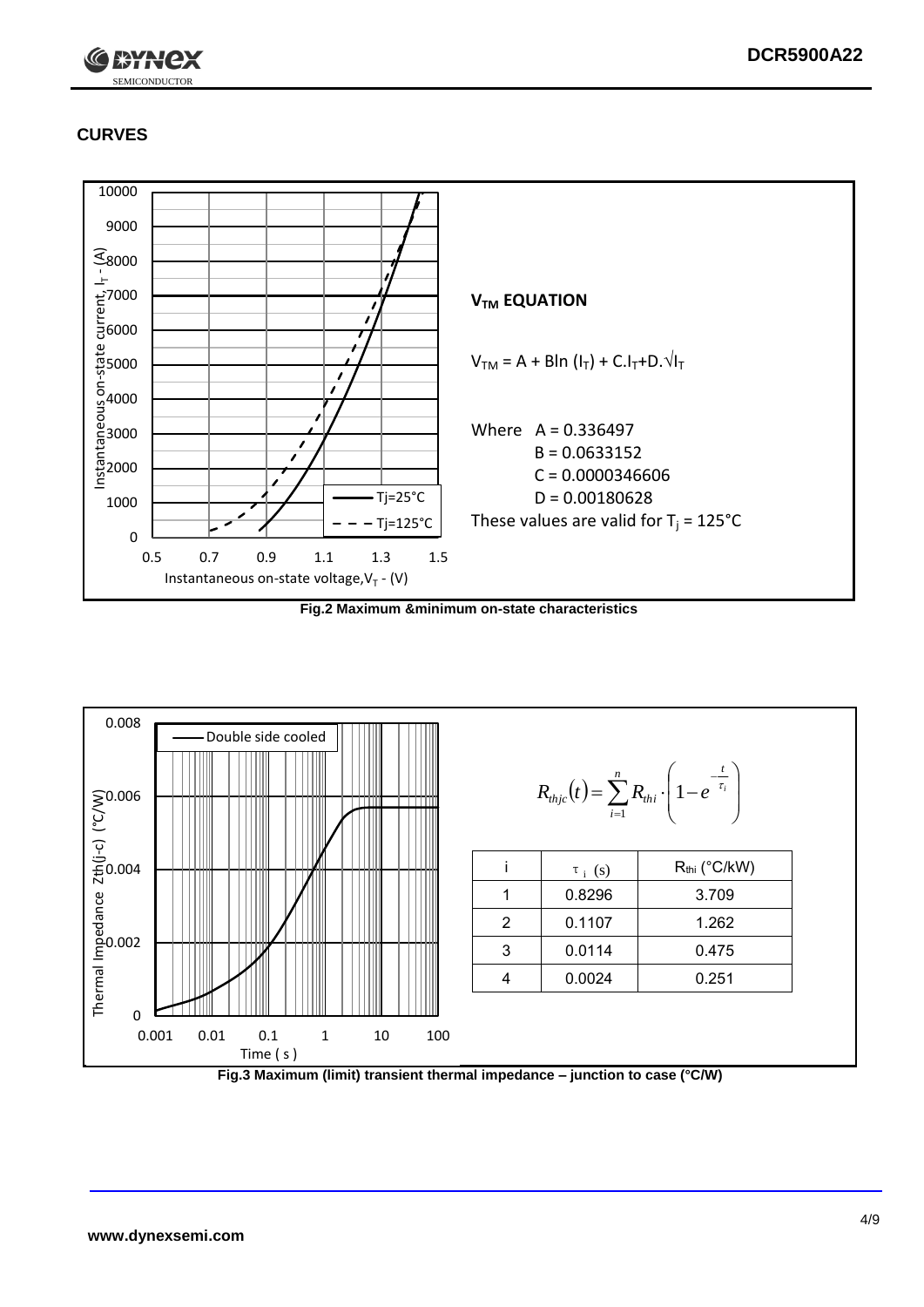

## **CURVES**



**Fig.2 Maximum &minimum on-state characteristics**



**Fig.3 Maximum (limit) transient thermal impedance – junction to case (°C/W)**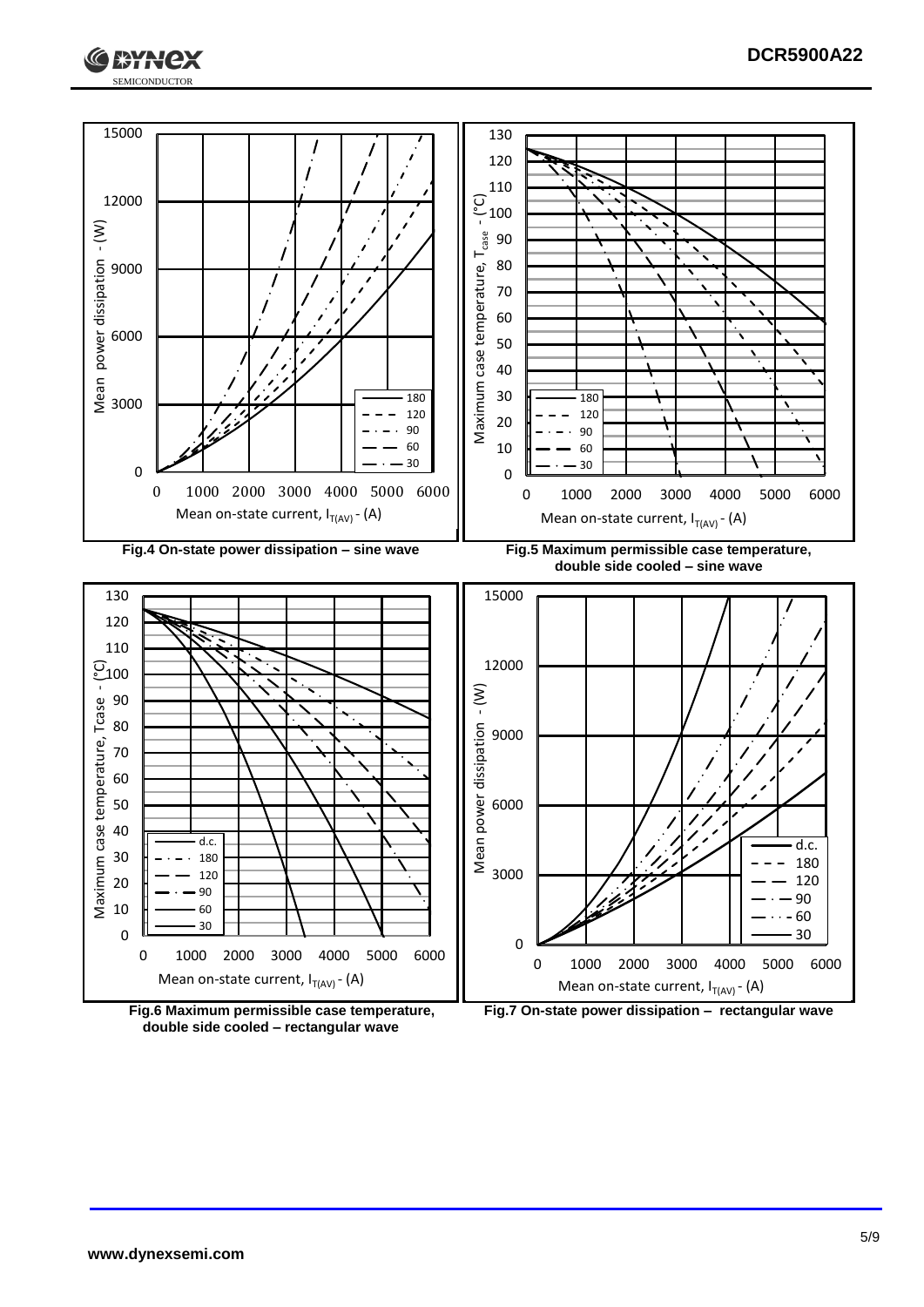





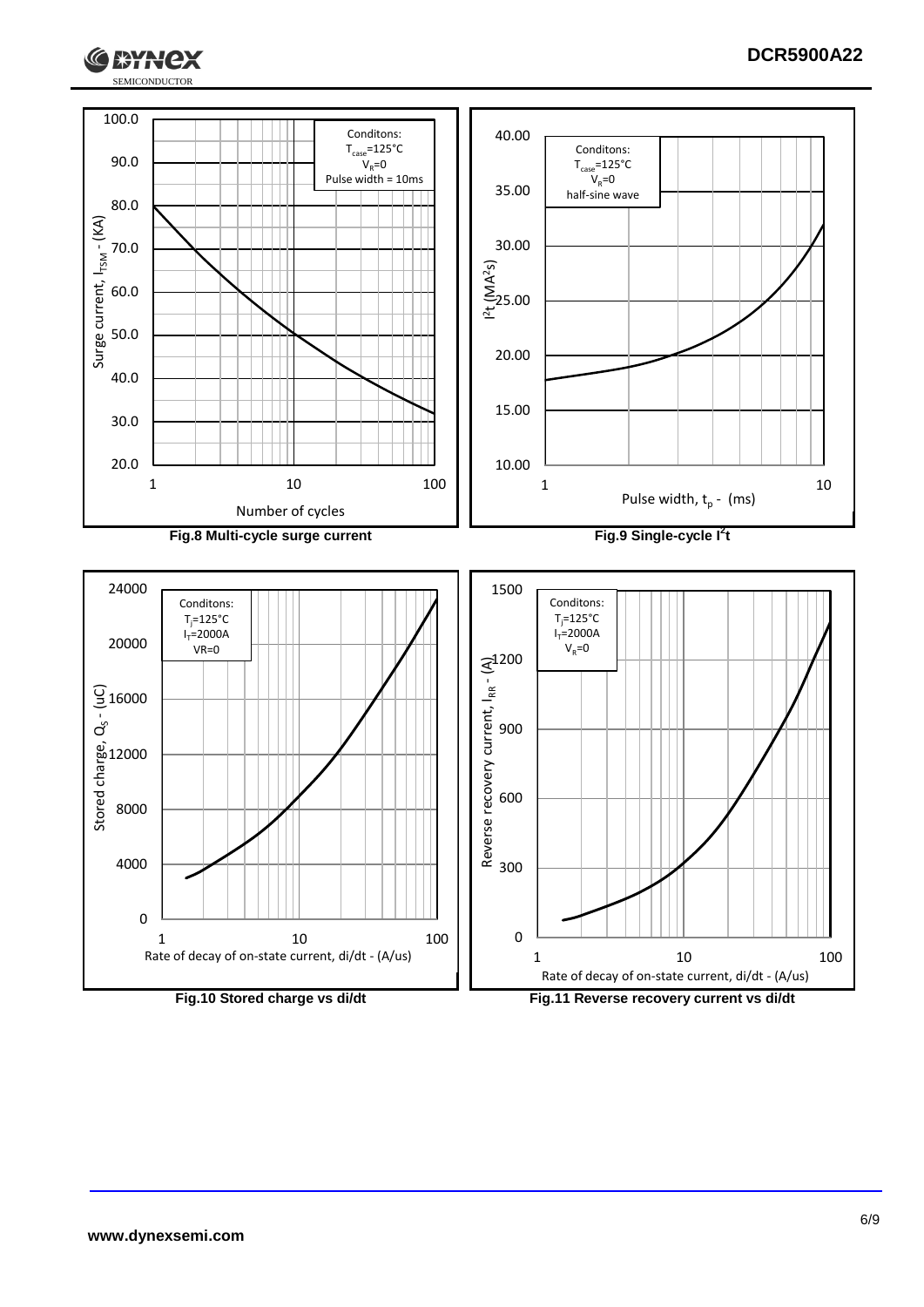



**HAY** 

ex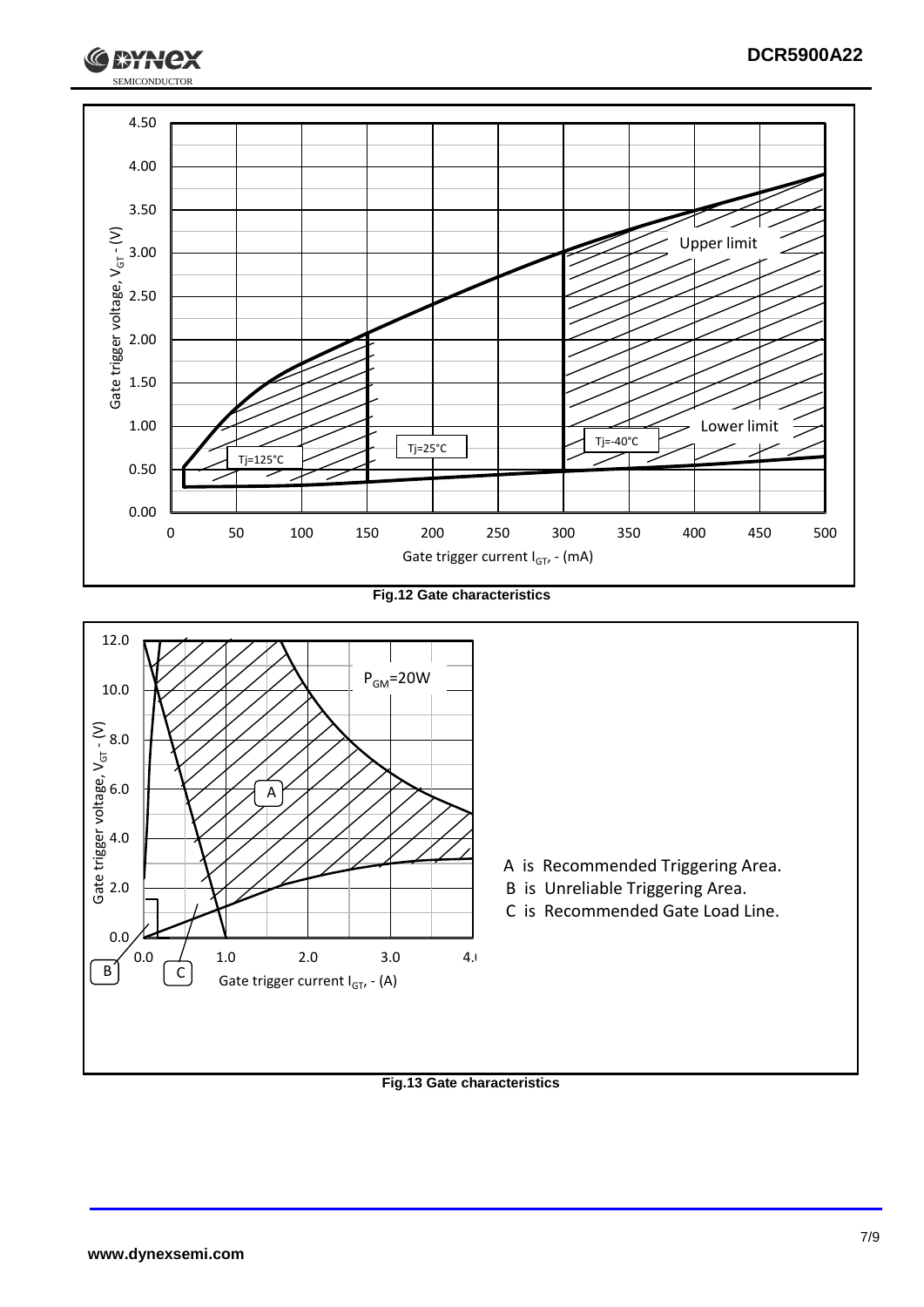

**Fig.12 Gate characteristics**



**Fig.13 Gate characteristics**

SEMICONDUCTOR

**J\*\*H**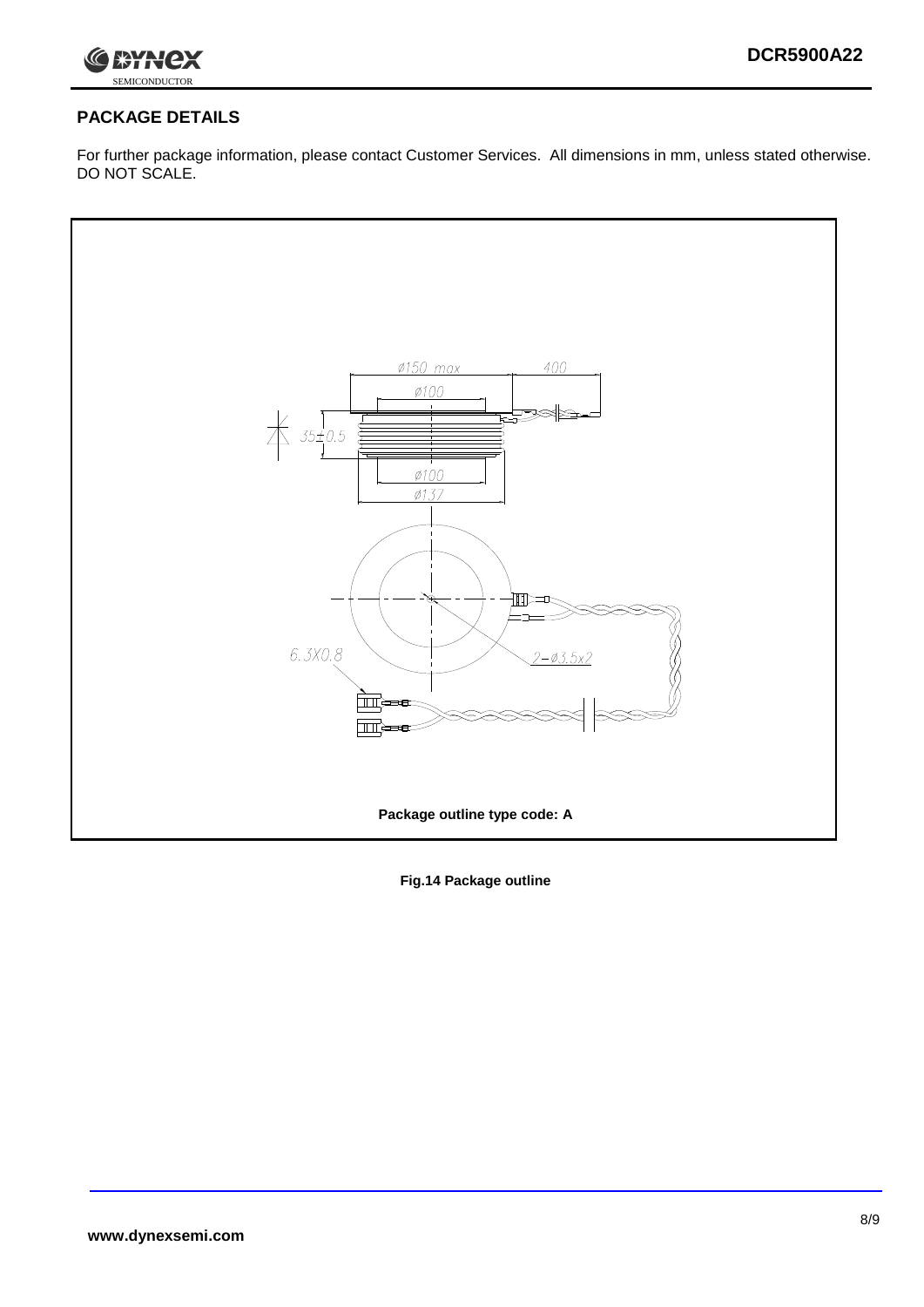

#### **PACKAGE DETAILS**

For further package information, please contact Customer Services. All dimensions in mm, unless stated otherwise. DO NOT SCALE.



**Fig.14 Package outline**